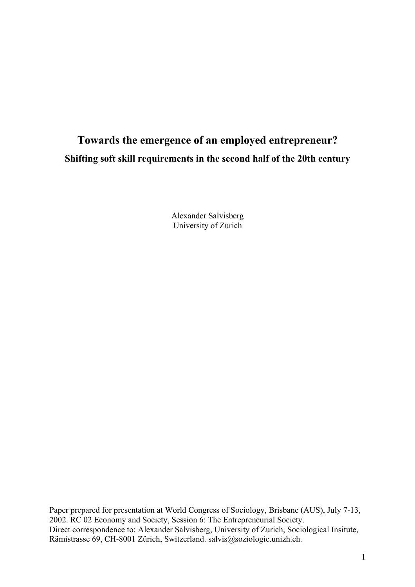# **Towards the emergence of an employed entrepreneur? Shifting soft skill requirements in the second half of the 20th century**

Alexander Salvisberg University of Zurich

Paper prepared for presentation at World Congress of Sociology, Brisbane (AUS), July 7-13, 2002. RC 02 Economy and Society, Session 6: The Entrepreneurial Society. Direct correspondence to: Alexander Salvisberg, University of Zurich, Sociological Insitute, Rämistrasse 69, CH-8001 Zürich, Switzerland. salvis@soziologie.unizh.ch.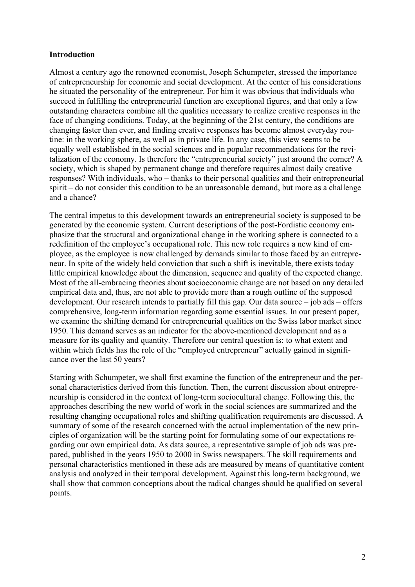#### **Introduction**

Almost a century ago the renowned economist, Joseph Schumpeter, stressed the importance of entrepreneurship for economic and social development. At the center of his considerations he situated the personality of the entrepreneur. For him it was obvious that individuals who succeed in fulfilling the entrepreneurial function are exceptional figures, and that only a few outstanding characters combine all the qualities necessary to realize creative responses in the face of changing conditions. Today, at the beginning of the 21st century, the conditions are changing faster than ever, and finding creative responses has become almost everyday routine: in the working sphere, as well as in private life. In any case, this view seems to be equally well established in the social sciences and in popular recommendations for the revitalization of the economy. Is therefore the "entrepreneurial society" just around the corner? A society, which is shaped by permanent change and therefore requires almost daily creative responses? With individuals, who – thanks to their personal qualities and their entrepreneurial spirit – do not consider this condition to be an unreasonable demand, but more as a challenge and a chance?

The central impetus to this development towards an entrepreneurial society is supposed to be generated by the economic system. Current descriptions of the post-Fordistic economy emphasize that the structural and organizational change in the working sphere is connected to a redefinition of the employee's occupational role. This new role requires a new kind of employee, as the employee is now challenged by demands similar to those faced by an entrepreneur. In spite of the widely held conviction that such a shift is inevitable, there exists today little empirical knowledge about the dimension, sequence and quality of the expected change. Most of the all-embracing theories about socioeconomic change are not based on any detailed empirical data and, thus, are not able to provide more than a rough outline of the supposed development. Our research intends to partially fill this gap. Our data source – job ads – offers comprehensive, long-term information regarding some essential issues. In our present paper, we examine the shifting demand for entrepreneurial qualities on the Swiss labor market since 1950. This demand serves as an indicator for the above-mentioned development and as a measure for its quality and quantity. Therefore our central question is: to what extent and within which fields has the role of the "employed entrepreneur" actually gained in significance over the last 50 years?

Starting with Schumpeter, we shall first examine the function of the entrepreneur and the personal characteristics derived from this function. Then, the current discussion about entrepreneurship is considered in the context of long-term sociocultural change. Following this, the approaches describing the new world of work in the social sciences are summarized and the resulting changing occupational roles and shifting qualification requirements are discussed. A summary of some of the research concerned with the actual implementation of the new principles of organization will be the starting point for formulating some of our expectations regarding our own empirical data. As data source, a representative sample of job ads was prepared, published in the years 1950 to 2000 in Swiss newspapers. The skill requirements and personal characteristics mentioned in these ads are measured by means of quantitative content analysis and analyzed in their temporal development. Against this long-term background, we shall show that common conceptions about the radical changes should be qualified on several points.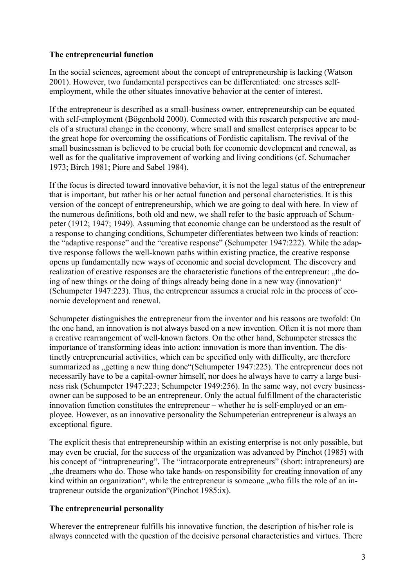### **The entrepreneurial function**

In the social sciences, agreement about the concept of entrepreneurship is lacking (Watson 2001). However, two fundamental perspectives can be differentiated: one stresses selfemployment, while the other situates innovative behavior at the center of interest.

If the entrepreneur is described as a small-business owner, entrepreneurship can be equated with self-employment (Bögenhold 2000). Connected with this research perspective are models of a structural change in the economy, where small and smallest enterprises appear to be the great hope for overcoming the ossifications of Fordistic capitalism. The revival of the small businessman is believed to be crucial both for economic development and renewal, as well as for the qualitative improvement of working and living conditions (cf. Schumacher 1973; Birch 1981; Piore and Sabel 1984).

If the focus is directed toward innovative behavior, it is not the legal status of the entrepreneur that is important, but rather his or her actual function and personal characteristics. It is this version of the concept of entrepreneurship, which we are going to deal with here. In view of the numerous definitions, both old and new, we shall refer to the basic approach of Schumpeter (1912; 1947; 1949). Assuming that economic change can be understood as the result of a response to changing conditions, Schumpeter differentiates between two kinds of reaction: the "adaptive response" and the "creative response" (Schumpeter 1947:222). While the adaptive response follows the well-known paths within existing practice, the creative response opens up fundamentally new ways of economic and social development. The discovery and realization of creative responses are the characteristic functions of the entrepreneur: "the doing of new things or the doing of things already being done in a new way (innovation)" (Schumpeter 1947:223). Thus, the entrepreneur assumes a crucial role in the process of economic development and renewal.

Schumpeter distinguishes the entrepreneur from the inventor and his reasons are twofold: On the one hand, an innovation is not always based on a new invention. Often it is not more than a creative rearrangement of well-known factors. On the other hand, Schumpeter stresses the importance of transforming ideas into action: innovation is more than invention. The distinctly entrepreneurial activities, which can be specified only with difficulty, are therefore summarized as , getting a new thing done "(Schumpeter 1947:225). The entrepreneur does not necessarily have to be a capital-owner himself, nor does he always have to carry a large business risk (Schumpeter 1947:223; Schumpeter 1949:256). In the same way, not every businessowner can be supposed to be an entrepreneur. Only the actual fulfillment of the characteristic innovation function constitutes the entrepreneur – whether he is self-employed or an employee. However, as an innovative personality the Schumpeterian entrepreneur is always an exceptional figure.

The explicit thesis that entrepreneurship within an existing enterprise is not only possible, but may even be crucial, for the success of the organization was advanced by Pinchot (1985) with his concept of "intrapreneuring". The "intracorporate entrepreneurs" (short: intrapreneurs) are the dreamers who do. Those who take hands-on responsibility for creating innovation of any kind within an organization", while the entrepreneur is someone , who fills the role of an intrapreneur outside the organization"(Pinchot 1985:ix).

## **The entrepreneurial personality**

Wherever the entrepreneur fulfills his innovative function, the description of his/her role is always connected with the question of the decisive personal characteristics and virtues. There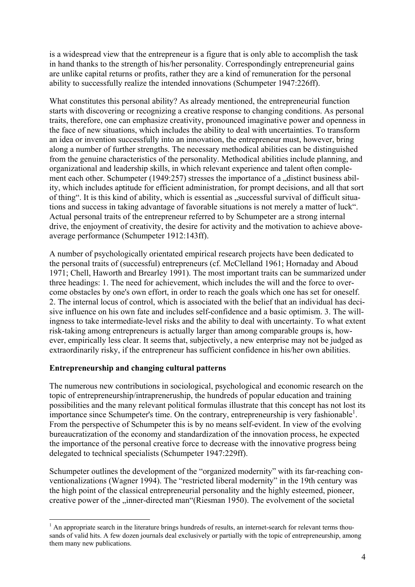is a widespread view that the entrepreneur is a figure that is only able to accomplish the task in hand thanks to the strength of his/her personality. Correspondingly entrepreneurial gains are unlike capital returns or profits, rather they are a kind of remuneration for the personal ability to successfully realize the intended innovations (Schumpeter 1947:226ff).

What constitutes this personal ability? As already mentioned, the entrepreneurial function starts with discovering or recognizing a creative response to changing conditions. As personal traits, therefore, one can emphasize creativity, pronounced imaginative power and openness in the face of new situations, which includes the ability to deal with uncertainties. To transform an idea or invention successfully into an innovation, the entrepreneur must, however, bring along a number of further strengths. The necessary methodical abilities can be distinguished from the genuine characteristics of the personality. Methodical abilities include planning, and organizational and leadership skills, in which relevant experience and talent often complement each other. Schumpeter  $(1949:257)$  stresses the importance of a distinct business ability, which includes aptitude for efficient administration, for prompt decisions, and all that sort of thing". It is this kind of ability, which is essential as "successful survival of difficult situations and success in taking advantage of favorable situations is not merely a matter of luck". Actual personal traits of the entrepreneur referred to by Schumpeter are a strong internal drive, the enjoyment of creativity, the desire for activity and the motivation to achieve aboveaverage performance (Schumpeter 1912:143ff).

A number of psychologically orientated empirical research projects have been dedicated to the personal traits of (successful) entrepreneurs (cf. McClelland 1961; Hornaday and Aboud 1971; Chell, Haworth and Brearley 1991). The most important traits can be summarized under three headings: 1. The need for achievement, which includes the will and the force to overcome obstacles by one's own effort, in order to reach the goals which one has set for oneself. 2. The internal locus of control, which is associated with the belief that an individual has decisive influence on his own fate and includes self-confidence and a basic optimism. 3. The willingness to take intermediate-level risks and the ability to deal with uncertainty. To what extent risk-taking among entrepreneurs is actually larger than among comparable groups is, however, empirically less clear. It seems that, subjectively, a new enterprise may not be judged as extraordinarily risky, if the entrepreneur has sufficient confidence in his/her own abilities.

#### **Entrepreneurship and changing cultural patterns**

The numerous new contributions in sociological, psychological and economic research on the topic of entrepreneurship/intrapreneruship, the hundreds of popular education and training possibilities and the many relevant political formulas illustrate that this concept has not lost its importance since Schumpeter's time. On the contrary, entrepreneurship is very fashionable<sup>[1](#page-3-0)</sup>. From the perspective of Schumpeter this is by no means self-evident. In view of the evolving bureaucratization of the economy and standardization of the innovation process, he expected the importance of the personal creative force to decrease with the innovative progress being delegated to technical specialists (Schumpeter 1947:229ff).

Schumpeter outlines the development of the "organized modernity" with its far-reaching conventionalizations (Wagner 1994). The "restricted liberal modernity" in the 19th century was the high point of the classical entrepreneurial personality and the highly esteemed, pioneer, creative power of the "inner-directed man"(Riesman 1950). The evolvement of the societal

<span id="page-3-0"></span><sup>&</sup>lt;sup>1</sup> An appropriate search in the literature brings hundreds of results, an internet-search for relevant terms thousands of valid hits. A few dozen journals deal exclusively or partially with the topic of entrepreneurship, among them many new publications.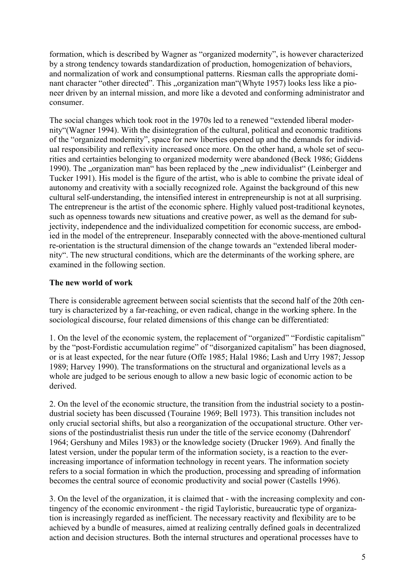formation, which is described by Wagner as "organized modernity", is however characterized by a strong tendency towards standardization of production, homogenization of behaviors, and normalization of work and consumptional patterns. Riesman calls the appropriate dominant character "other directed". This "organization man"(Whyte 1957) looks less like a pioneer driven by an internal mission, and more like a devoted and conforming administrator and consumer.

The social changes which took root in the 1970s led to a renewed "extended liberal modernity"(Wagner 1994). With the disintegration of the cultural, political and economic traditions of the "organized modernity", space for new liberties opened up and the demands for individual responsibility and reflexivity increased once more. On the other hand, a whole set of securities and certainties belonging to organized modernity were abandoned (Beck 1986; Giddens 1990). The "organization man" has been replaced by the "new individualist" (Leinberger and Tucker 1991). His model is the figure of the artist, who is able to combine the private ideal of autonomy and creativity with a socially recognized role. Against the background of this new cultural self-understanding, the intensified interest in entrepreneurship is not at all surprising. The entrepreneur is the artist of the economic sphere. Highly valued post-traditional keynotes, such as openness towards new situations and creative power, as well as the demand for subjectivity, independence and the individualized competition for economic success, are embodied in the model of the entrepreneur. Inseparably connected with the above-mentioned cultural re-orientation is the structural dimension of the change towards an "extended liberal modernity". The new structural conditions, which are the determinants of the working sphere, are examined in the following section.

#### **The new world of work**

There is considerable agreement between social scientists that the second half of the 20th century is characterized by a far-reaching, or even radical, change in the working sphere. In the sociological discourse, four related dimensions of this change can be differentiated:

1. On the level of the economic system, the replacement of "organized" "Fordistic capitalism" by the "post-Fordistic accumulation regime" of "disorganized capitalism" has been diagnosed, or is at least expected, for the near future (Offe 1985; Halal 1986; Lash and Urry 1987; Jessop 1989; Harvey 1990). The transformations on the structural and organizational levels as a whole are judged to be serious enough to allow a new basic logic of economic action to be derived.

2. On the level of the economic structure, the transition from the industrial society to a postindustrial society has been discussed (Touraine 1969; Bell 1973). This transition includes not only crucial sectorial shifts, but also a reorganization of the occupational structure. Other versions of the postindustrialist thesis run under the title of the service economy (Dahrendorf 1964; Gershuny and Miles 1983) or the knowledge society (Drucker 1969). And finally the latest version, under the popular term of the information society, is a reaction to the everincreasing importance of information technology in recent years. The information society refers to a social formation in which the production, processing and spreading of information becomes the central source of economic productivity and social power (Castells 1996).

3. On the level of the organization, it is claimed that - with the increasing complexity and contingency of the economic environment - the rigid Tayloristic, bureaucratic type of organization is increasingly regarded as inefficient. The necessary reactivity and flexibility are to be achieved by a bundle of measures, aimed at realizing centrally defined goals in decentralized action and decision structures. Both the internal structures and operational processes have to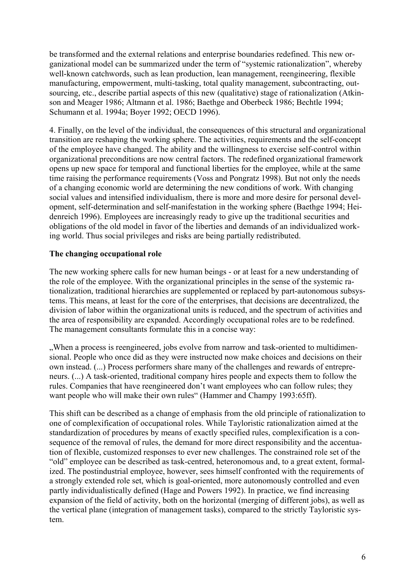be transformed and the external relations and enterprise boundaries redefined. This new organizational model can be summarized under the term of "systemic rationalization", whereby well-known catchwords, such as lean production, lean management, reengineering, flexible manufacturing, empowerment, multi-tasking, total quality management, subcontracting, outsourcing, etc., describe partial aspects of this new (qualitative) stage of rationalization (Atkinson and Meager 1986; Altmann et al. 1986; Baethge and Oberbeck 1986; Bechtle 1994; Schumann et al. 1994a; Boyer 1992; OECD 1996).

4. Finally, on the level of the individual, the consequences of this structural and organizational transition are reshaping the working sphere. The activities, requirements and the self-concept of the employee have changed. The ability and the willingness to exercise self-control within organizational preconditions are now central factors. The redefined organizational framework opens up new space for temporal and functional liberties for the employee, while at the same time raising the performance requirements (Voss and Pongratz 1998). But not only the needs of a changing economic world are determining the new conditions of work. With changing social values and intensified individualism, there is more and more desire for personal development, self-determination and self-manifestation in the working sphere (Baethge 1994; Heidenreich 1996). Employees are increasingly ready to give up the traditional securities and obligations of the old model in favor of the liberties and demands of an individualized working world. Thus social privileges and risks are being partially redistributed.

#### **The changing occupational role**

The new working sphere calls for new human beings - or at least for a new understanding of the role of the employee. With the organizational principles in the sense of the systemic rationalization, traditional hierarchies are supplemented or replaced by part-autonomous subsystems. This means, at least for the core of the enterprises, that decisions are decentralized, the division of labor within the organizational units is reduced, and the spectrum of activities and the area of responsibility are expanded. Accordingly occupational roles are to be redefined. The management consultants formulate this in a concise way:

..When a process is reengineered, jobs evolve from narrow and task-oriented to multidimensional. People who once did as they were instructed now make choices and decisions on their own instead. (...) Process performers share many of the challenges and rewards of entrepreneurs. (...) A task-oriented, traditional company hires people and expects them to follow the rules. Companies that have reengineered don't want employees who can follow rules; they want people who will make their own rules" (Hammer and Champy 1993:65ff).

This shift can be described as a change of emphasis from the old principle of rationalization to one of complexification of occupational roles. While Tayloristic rationalization aimed at the standardization of procedures by means of exactly specified rules, complexification is a consequence of the removal of rules, the demand for more direct responsibility and the accentuation of flexible, customized responses to ever new challenges. The constrained role set of the "old" employee can be described as task-centred, heteronomous and, to a great extent, formalized. The postindustrial employee, however, sees himself confronted with the requirements of a strongly extended role set, which is goal-oriented, more autonomously controlled and even partly individualistically defined (Hage and Powers 1992). In practice, we find increasing expansion of the field of activity, both on the horizontal (merging of different jobs), as well as the vertical plane (integration of management tasks), compared to the strictly Tayloristic system.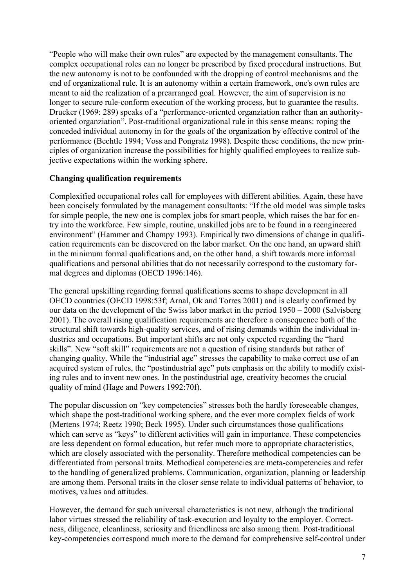"People who will make their own rules" are expected by the management consultants. The complex occupational roles can no longer be prescribed by fixed procedural instructions. But the new autonomy is not to be confounded with the dropping of control mechanisms and the end of organizational rule. It is an autonomy within a certain framework, one's own rules are meant to aid the realization of a prearranged goal. However, the aim of supervision is no longer to secure rule-conform execution of the working process, but to guarantee the results. Drucker (1969: 289) speaks of a "performance-oriented organziation rather than an authorityoriented organziation". Post-traditional organizational rule in this sense means: roping the conceded individual autonomy in for the goals of the organization by effective control of the performance (Bechtle 1994; Voss and Pongratz 1998). Despite these conditions, the new principles of organization increase the possibilities for highly qualified employees to realize subjective expectations within the working sphere.

#### **Changing qualification requirements**

Complexified occupational roles call for employees with different abilities. Again, these have been concisely formulated by the management consultants: "If the old model was simple tasks for simple people, the new one is complex jobs for smart people, which raises the bar for entry into the workforce. Few simple, routine, unskilled jobs are to be found in a reengineered environment" (Hammer and Champy 1993). Empirically two dimensions of change in qualification requirements can be discovered on the labor market. On the one hand, an upward shift in the minimum formal qualifications and, on the other hand, a shift towards more informal qualifications and personal abilities that do not necessarily correspond to the customary formal degrees and diplomas (OECD 1996:146).

The general upskilling regarding formal qualifications seems to shape development in all OECD countries (OECD 1998:53f; Arnal, Ok and Torres 2001) and is clearly confirmed by our data on the development of the Swiss labor market in the period 1950 – 2000 (Salvisberg 2001). The overall rising qualification requirements are therefore a consequence both of the structural shift towards high-quality services, and of rising demands within the individual industries and occupations. But important shifts are not only expected regarding the "hard skills". New "soft skill" requirements are not a question of rising standards but rather of changing quality. While the "industrial age" stresses the capability to make correct use of an acquired system of rules, the "postindustrial age" puts emphasis on the ability to modify existing rules and to invent new ones. In the postindustrial age, creativity becomes the crucial quality of mind (Hage and Powers 1992:70f).

The popular discussion on "key competencies" stresses both the hardly foreseeable changes, which shape the post-traditional working sphere, and the ever more complex fields of work (Mertens 1974; Reetz 1990; Beck 1995). Under such circumstances those qualifications which can serve as "keys" to different activities will gain in importance. These competencies are less dependent on formal education, but refer much more to appropriate characteristics, which are closely associated with the personality. Therefore methodical competencies can be differentiated from personal traits. Methodical competencies are meta-competencies and refer to the handling of generalized problems. Communication, organization, planning or leadership are among them. Personal traits in the closer sense relate to individual patterns of behavior, to motives, values and attitudes.

However, the demand for such universal characteristics is not new, although the traditional labor virtues stressed the reliability of task-execution and loyalty to the employer. Correctness, diligence, cleanliness, seriosity and friendliness are also among them. Post-traditional key-competencies correspond much more to the demand for comprehensive self-control under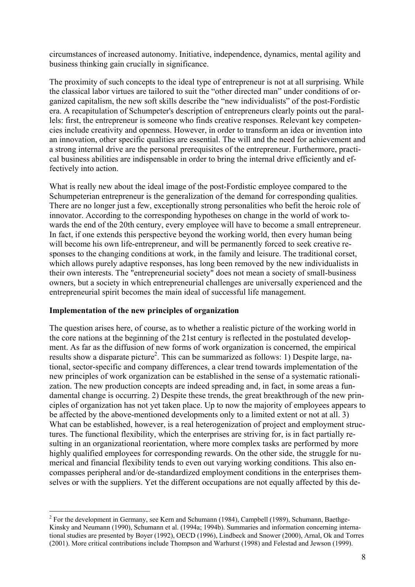circumstances of increased autonomy. Initiative, independence, dynamics, mental agility and business thinking gain crucially in significance.

The proximity of such concepts to the ideal type of entrepreneur is not at all surprising. While the classical labor virtues are tailored to suit the "other directed man" under conditions of organized capitalism, the new soft skills describe the "new individualists" of the post-Fordistic era. A recapitulation of Schumpeter's description of entrepreneurs clearly points out the parallels: first, the entrepreneur is someone who finds creative responses. Relevant key competencies include creativity and openness. However, in order to transform an idea or invention into an innovation, other specific qualities are essential. The will and the need for achievement and a strong internal drive are the personal prerequisites of the entrepreneur. Furthermore, practical business abilities are indispensable in order to bring the internal drive efficiently and effectively into action.

What is really new about the ideal image of the post-Fordistic employee compared to the Schumpeterian entrepreneur is the generalization of the demand for corresponding qualities. There are no longer just a few, exceptionally strong personalities who befit the heroic role of innovator. According to the corresponding hypotheses on change in the world of work towards the end of the 20th century, every employee will have to become a small entrepreneur. In fact, if one extends this perspective beyond the working world, then every human being will become his own life-entrepreneur, and will be permanently forced to seek creative responses to the changing conditions at work, in the family and leisure. The traditional corset, which allows purely adaptive responses, has long been removed by the new individualists in their own interests. The "entrepreneurial society" does not mean a society of small-business owners, but a society in which entrepreneurial challenges are universally experienced and the entrepreneurial spirit becomes the main ideal of successful life management.

#### **Implementation of the new principles of organization**

The question arises here, of course, as to whether a realistic picture of the working world in the core nations at the beginning of the 21st century is reflected in the postulated development. As far as the diffusion of new forms of work organization is concerned, the empirical results show a disparate picture<sup>[2](#page-7-0)</sup>. This can be summarized as follows: 1) Despite large, national, sector-specific and company differences, a clear trend towards implementation of the new principles of work organization can be established in the sense of a systematic rationalization. The new production concepts are indeed spreading and, in fact, in some areas a fundamental change is occurring. 2) Despite these trends, the great breakthrough of the new principles of organization has not yet taken place. Up to now the majority of employees appears to be affected by the above-mentioned developments only to a limited extent or not at all. 3) What can be established, however, is a real heterogenization of project and employment structures. The functional flexibility, which the enterprises are striving for, is in fact partially resulting in an organizational reorientation, where more complex tasks are performed by more highly qualified employees for corresponding rewards. On the other side, the struggle for numerical and financial flexibility tends to even out varying working conditions. This also encompasses peripheral and/or de-standardized employment conditions in the enterprises themselves or with the suppliers. Yet the different occupations are not equally affected by this de-

<span id="page-7-0"></span><sup>&</sup>lt;sup>2</sup> For the development in Germany, see Kern and Schumann (1984), Campbell (1989), Schumann, Baethge-Kinsky and Neumann (1990), Schumann et al. (1994a; 1994b). Summaries and information concerning international studies are presented by Boyer (1992), OECD (1996), Lindbeck and Snower (2000), Arnal, Ok and Torres (2001). More critical contributions include Thompson and Warhurst (1998) and Felestad and Jewson (1999).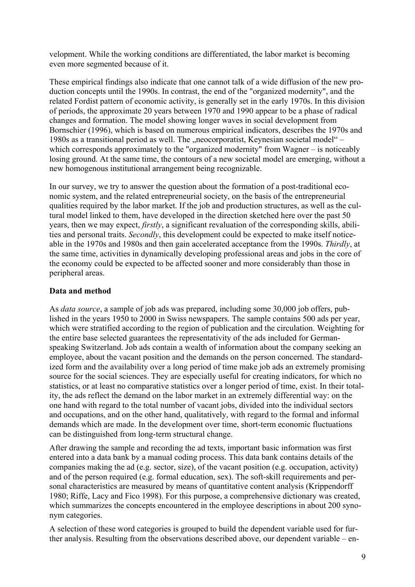velopment. While the working conditions are differentiated, the labor market is becoming even more segmented because of it.

These empirical findings also indicate that one cannot talk of a wide diffusion of the new production concepts until the 1990s. In contrast, the end of the "organized modernity", and the related Fordist pattern of economic activity, is generally set in the early 1970s. In this division of periods, the approximate 20 years between 1970 and 1990 appear to be a phase of radical changes and formation. The model showing longer waves in social development from Bornschier (1996), which is based on numerous empirical indicators, describes the 1970s and 1980s as a transitional period as well. The "neocorporatist, Keynesian societal model" – which corresponds approximately to the "organized modernity" from Wagner – is noticeably losing ground. At the same time, the contours of a new societal model are emerging, without a new homogenous institutional arrangement being recognizable.

In our survey, we try to answer the question about the formation of a post-traditional economic system, and the related entrepreneurial society, on the basis of the entrepreneurial qualities required by the labor market. If the job and production structures, as well as the cultural model linked to them, have developed in the direction sketched here over the past 50 years, then we may expect, *firstly*, a significant revaluation of the corresponding skills, abilities and personal traits. *Secondly*, this development could be expected to make itself noticeable in the 1970s and 1980s and then gain accelerated acceptance from the 1990s. *Thirdly*, at the same time, activities in dynamically developing professional areas and jobs in the core of the economy could be expected to be affected sooner and more considerably than those in peripheral areas.

#### **Data and method**

As *data source*, a sample of job ads was prepared, including some 30,000 job offers, published in the years 1950 to 2000 in Swiss newspapers. The sample contains 500 ads per year, which were stratified according to the region of publication and the circulation. Weighting for the entire base selected guarantees the representativity of the ads included for Germanspeaking Switzerland. Job ads contain a wealth of information about the company seeking an employee, about the vacant position and the demands on the person concerned. The standardized form and the availability over a long period of time make job ads an extremely promising source for the social sciences. They are especially useful for creating indicators, for which no statistics, or at least no comparative statistics over a longer period of time, exist. In their totality, the ads reflect the demand on the labor market in an extremely differential way: on the one hand with regard to the total number of vacant jobs, divided into the individual sectors and occupations, and on the other hand, qualitatively, with regard to the formal and informal demands which are made. In the development over time, short-term economic fluctuations can be distinguished from long-term structural change.

After drawing the sample and recording the ad texts, important basic information was first entered into a data bank by a manual coding process. This data bank contains details of the companies making the ad (e.g. sector, size), of the vacant position (e.g. occupation, activity) and of the person required (e.g. formal education, sex). The soft-skill requirements and personal characteristics are measured by means of quantitative content analysis (Krippendorff 1980; Riffe, Lacy and Fico 1998). For this purpose, a comprehensive dictionary was created, which summarizes the concepts encountered in the employee descriptions in about 200 synonym categories.

A selection of these word categories is grouped to build the dependent variable used for further analysis. Resulting from the observations described above, our dependent variable – en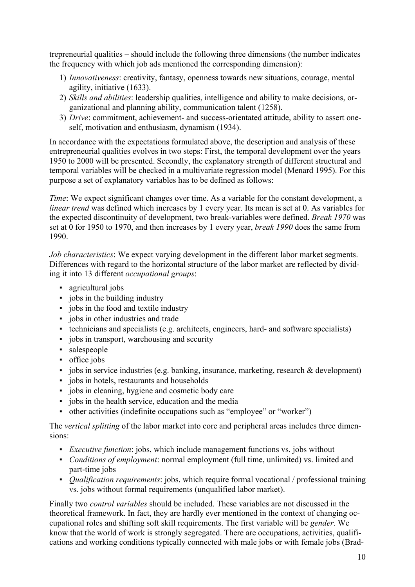trepreneurial qualities – should include the following three dimensions (the number indicates the frequency with which job ads mentioned the corresponding dimension):

- 1) *Innovativeness*: creativity, fantasy, openness towards new situations, courage, mental agility, initiative (1633).
- 2) *Skills and abilities*: leadership qualities, intelligence and ability to make decisions, organizational and planning ability, communication talent (1258).
- 3) *Drive*: commitment, achievement- and success-orientated attitude, ability to assert oneself, motivation and enthusiasm, dynamism (1934).

In accordance with the expectations formulated above, the description and analysis of these entrepreneurial qualities evolves in two steps: First, the temporal development over the years 1950 to 2000 will be presented. Secondly, the explanatory strength of different structural and temporal variables will be checked in a multivariate regression model (Menard 1995). For this purpose a set of explanatory variables has to be defined as follows:

*Time*: We expect significant changes over time. As a variable for the constant development, a *linear trend* was defined which increases by 1 every year. Its mean is set at 0. As variables for the expected discontinuity of development, two break-variables were defined. *Break 1970* was set at 0 for 1950 to 1970, and then increases by 1 every year, *break 1990* does the same from 1990.

*Job characteristics*: We expect varying development in the different labor market segments. Differences with regard to the horizontal structure of the labor market are reflected by dividing it into 13 different *occupational groups*:

- **•** agricultural jobs
- jobs in the building industry
- jobs in the food and textile industry
- jobs in other industries and trade
- technicians and specialists (e.g. architects, engineers, hard- and software specialists)
- jobs in transport, warehousing and security
- salespeople
- office jobs
- jobs in service industries (e.g. banking, insurance, marketing, research & development)
- jobs in hotels, restaurants and households
- jobs in cleaning, hygiene and cosmetic body care
- jobs in the health service, education and the media
- other activities (indefinite occupations such as "employee" or "worker")

The *vertical splitting* of the labor market into core and peripheral areas includes three dimensions:

- *Executive function*: jobs, which include management functions vs. jobs without
- *Conditions of employment*: normal employment (full time, unlimited) vs. limited and part-time jobs
- *Qualification requirements*: jobs, which require formal vocational / professional training vs. jobs without formal requirements (unqualified labor market).

Finally two *control variables* should be included. These variables are not discussed in the theoretical framework. In fact, they are hardly ever mentioned in the context of changing occupational roles and shifting soft skill requirements. The first variable will be *gender*. We know that the world of work is strongly segregated. There are occupations, activities, qualifications and working conditions typically connected with male jobs or with female jobs (Brad-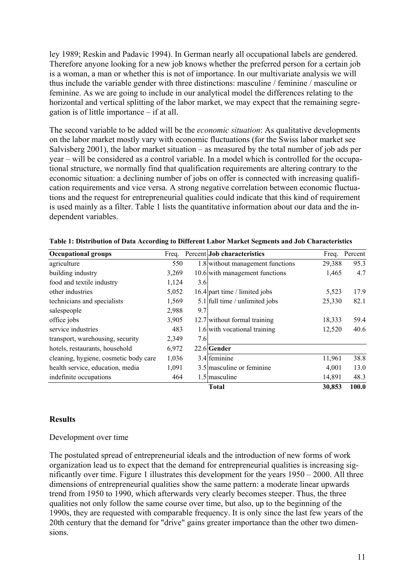ley 1989; Reskin and Padavic 1994). In German nearly all occupational labels are gendered. Therefore anyone looking for a new job knows whether the preferred person for a certain job is a woman, a man or whether this is not of importance. In our multivariate analysis we will thus include the variable gender with three distinctions: masculine / feminine / masculine or feminine. As we are going to include in our analytical model the differences relating to the horizontal and vertical splitting of the labor market, we may expect that the remaining segregation is of little importance – if at all.

The second variable to be added will be the *economic situation*: As qualitative developments on the labor market mostly vary with economic fluctuations (for the Swiss labor market see Salvisberg 2001), the labor market situation – as measured by the total number of job ads per year – will be considered as a control variable. In a model which is controlled for the occupational structure, we normally find that qualification requirements are altering contrary to the economic situation: a declining number of jobs on offer is connected with increasing qualification requirements and vice versa. A strong negative correlation between economic fluctuations and the request for entrepreneurial qualities could indicate that this kind of requirement is used mainly as a filter. Table 1 lists the quantitative information about our data and the independent variables.

| <b>Occupational groups</b>            | Freq. |     | Percent Job characteristics      | Freq.  | Percent |
|---------------------------------------|-------|-----|----------------------------------|--------|---------|
| agriculture                           | 550   |     | 1.8 without management functions | 29,388 | 95.3    |
| building industry                     | 3,269 |     | 10.6 with management functions   | 1,465  | 4.7     |
| food and textile industry             | 1,124 | 3.6 |                                  |        |         |
| other industries                      | 5,052 |     | 16.4 part time / limited jobs    | 5,523  | 17.9    |
| technicians and specialists           | 1,569 |     | $5.1$ full time / unlimited jobs | 25,330 | 82.1    |
| salespeople                           | 2,988 | 9.7 |                                  |        |         |
| office jobs                           | 3,905 |     | 12.7 without formal training     | 18,333 | 59.4    |
| service industries                    | 483   |     | 1.6 with vocational training     | 12,520 | 40.6    |
| transport, warehousing, security      | 2,349 | 7.6 |                                  |        |         |
| hotels, restaurants, household        | 6,972 |     | 22.6 Gender                      |        |         |
| cleaning, hygiene, cosmetic body care | 1,036 |     | 3.4 feminine                     | 11,961 | 38.8    |
| health service, education, media      | 1,091 |     | 3.5 masculine or feminine        | 4,001  | 13.0    |
| indefinite occupations                | 464   |     | 1.5 masculine                    | 14,891 | 48.3    |
|                                       |       |     | <b>Total</b>                     | 30,853 | 100.0   |

|  |  | Table 1: Distribution of Data According to Different Labor Market Segments and Job Characteristics |  |
|--|--|----------------------------------------------------------------------------------------------------|--|
|--|--|----------------------------------------------------------------------------------------------------|--|

#### **Results**

#### Development over time

The postulated spread of entrepreneurial ideals and the introduction of new forms of work organization lead us to expect that the demand for entrepreneurial qualities is increasing significantly over time. Figure 1 illustrates this development for the years 1950 – 2000. All three dimensions of entrepreneurial qualities show the same pattern: a moderate linear upwards trend from 1950 to 1990, which afterwards very clearly becomes steeper. Thus, the three qualities not only follow the same course over time, but also, up to the beginning of the 1990s, they are requested with comparable frequency. It is only since the last few years of the 20th century that the demand for "drive" gains greater importance than the other two dimensions.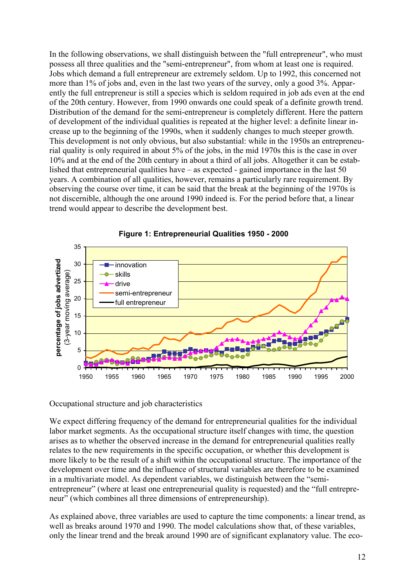In the following observations, we shall distinguish between the "full entrepreneur", who must possess all three qualities and the "semi-entrepreneur", from whom at least one is required. Jobs which demand a full entrepreneur are extremely seldom. Up to 1992, this concerned not more than 1% of jobs and, even in the last two years of the survey, only a good 3%. Apparently the full entrepreneur is still a species which is seldom required in job ads even at the end of the 20th century. However, from 1990 onwards one could speak of a definite growth trend. Distribution of the demand for the semi-entrepreneur is completely different. Here the pattern of development of the individual qualities is repeated at the higher level: a definite linear increase up to the beginning of the 1990s, when it suddenly changes to much steeper growth. This development is not only obvious, but also substantial: while in the 1950s an entrepreneurial quality is only required in about 5% of the jobs, in the mid 1970s this is the case in over 10% and at the end of the 20th century in about a third of all jobs. Altogether it can be established that entrepreneurial qualities have – as expected - gained importance in the last 50 years. A combination of all qualities, however, remains a particularly rare requirement. By observing the course over time, it can be said that the break at the beginning of the 1970s is not discernible, although the one around 1990 indeed is. For the period before that, a linear trend would appear to describe the development best.





Occupational structure and job characteristics

We expect differing frequency of the demand for entrepreneurial qualities for the individual labor market segments. As the occupational structure itself changes with time, the question arises as to whether the observed increase in the demand for entrepreneurial qualities really relates to the new requirements in the specific occupation, or whether this development is more likely to be the result of a shift within the occupational structure. The importance of the development over time and the influence of structural variables are therefore to be examined in a multivariate model. As dependent variables, we distinguish between the "semientrepreneur" (where at least one entrepreneurial quality is requested) and the "full entrepreneur" (which combines all three dimensions of entrepreneurship).

As explained above, three variables are used to capture the time components: a linear trend, as well as breaks around 1970 and 1990. The model calculations show that, of these variables, only the linear trend and the break around 1990 are of significant explanatory value. The eco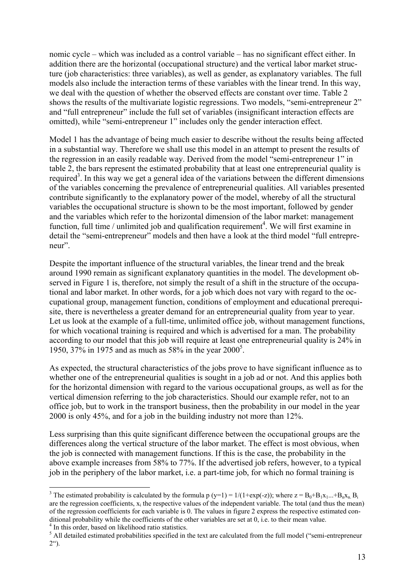nomic cycle – which was included as a control variable – has no significant effect either. In addition there are the horizontal (occupational structure) and the vertical labor market structure (job characteristics: three variables), as well as gender, as explanatory variables. The full models also include the interaction terms of these variables with the linear trend. In this way, we deal with the question of whether the observed effects are constant over time. Table 2 shows the results of the multivariate logistic regressions. Two models, "semi-entrepreneur 2" and "full entrepreneur" include the full set of variables (insignificant interaction effects are omitted), while "semi-entrepreneur 1" includes only the gender interaction effect.

Model 1 has the advantage of being much easier to describe without the results being affected in a substantial way. Therefore we shall use this model in an attempt to present the results of the regression in an easily readable way. Derived from the model "semi-entrepreneur 1" in table 2, the bars represent the estimated probability that at least one entrepreneurial quality is required<sup>3</sup>. In this way we get a general idea of the variations between the different dimensions of the variables concerning the prevalence of entrepreneurial qualities. All variables presented contribute significantly to the explanatory power of the model, whereby of all the structural variables the occupational structure is shown to be the most important, followed by gender and the variables which refer to the horizontal dimension of the labor market: management function, full time / unlimited job and qualification requirement<sup>[4](#page-12-1)</sup>. We will first examine in detail the "semi-entrepreneur" models and then have a look at the third model "full entrepreneur".

Despite the important influence of the structural variables, the linear trend and the break around 1990 remain as significant explanatory quantities in the model. The development observed in Figure 1 is, therefore, not simply the result of a shift in the structure of the occupational and labor market. In other words, for a job which does not vary with regard to the occupational group, management function, conditions of employment and educational prerequisite, there is nevertheless a greater demand for an entrepreneurial quality from year to year. Let us look at the example of a full-time, unlimited office job, without management functions, for which vocational training is required and which is advertised for a man. The probability according to our model that this job will require at least one entrepreneurial quality is 24% in 19[5](#page-12-2)0, 37% in 1975 and as much as 58% in the year 2000<sup>5</sup>.

As expected, the structural characteristics of the jobs prove to have significant influence as to whether one of the entrepreneurial qualities is sought in a job ad or not. And this applies both for the horizontal dimension with regard to the various occupational groups, as well as for the vertical dimension referring to the job characteristics. Should our example refer, not to an office job, but to work in the transport business, then the probability in our model in the year 2000 is only 45%, and for a job in the building industry not more than 12%.

Less surprising than this quite significant difference between the occupational groups are the differences along the vertical structure of the labor market. The effect is most obvious, when the job is connected with management functions. If this is the case, the probability in the above example increases from 58% to 77%. If the advertised job refers, however, to a typical job in the periphery of the labor market, i.e. a part-time job, for which no formal training is

 $\overline{a}$ 

<span id="page-12-0"></span><sup>&</sup>lt;sup>3</sup> The estimated probability is calculated by the formula p (y=1) = 1/(1+exp(-z)); where  $z = B_0 + B_1x_1...+B_nx_n$ .  $B_i$ are the regression coefficients,  $x_i$  the respective values of the independent variable. The total (and thus the mean) of the regression coefficients for each variable is 0. The values in figure 2 express the respective estimated conditional probability while the coefficients of the other variables are set at 0, i.e. to their mean value.

<span id="page-12-1"></span> $<sup>4</sup>$  In this order, based on likelihood ratio statistics.</sup>

<span id="page-12-2"></span><sup>&</sup>lt;sup>5</sup> All detailed estimated probabilities specified in the text are calculated from the full model ("semi-entrepreneur  $2^{\circ}$ ).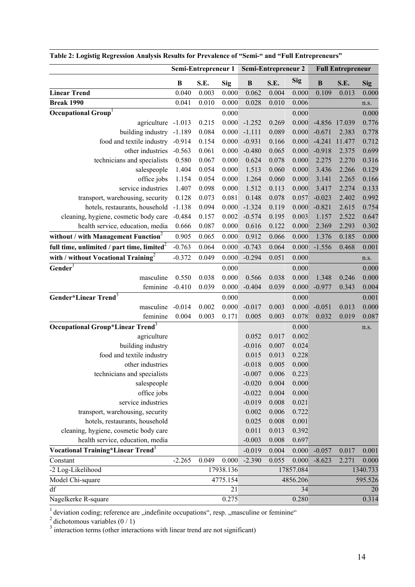|                                                     | Semi-Entrepreneur 1 |       | Semi-Entrepreneur 2 |              | <b>Full Entrepreneur</b> |            |          |               |            |
|-----------------------------------------------------|---------------------|-------|---------------------|--------------|--------------------------|------------|----------|---------------|------------|
|                                                     | $\bf{B}$            | S.E.  | <b>Sig</b>          | $\, {\bf B}$ | S.E.                     | <b>Sig</b> | $\bf{B}$ | S.E.          | <b>Sig</b> |
| <b>Linear Trend</b>                                 | 0.040               | 0.003 | 0.000               | 0.062        | 0.004                    | 0.000      | 0.109    | 0.013         | 0.000      |
| <b>Break 1990</b>                                   | 0.041               | 0.010 | 0.000               | 0.028        | 0.010                    | 0.006      |          |               | n.s.       |
| Occupational Group <sup>1</sup>                     |                     |       | 0.000               |              |                          | 0.000      |          |               | 0.000      |
| agriculture -1.013                                  |                     | 0.215 | 0.000               | $-1.252$     | 0.269                    | 0.000      |          | -4.856 17.039 | 0.776      |
| building industry                                   | $-1.189$            | 0.084 | 0.000               | $-1.111$     | 0.089                    | 0.000      | $-0.671$ | 2.383         | 0.778      |
| food and textile industry -0.914                    |                     | 0.154 | 0.000               | $-0.931$     | 0.166                    | 0.000      | $-4.241$ | 11.477        | 0.712      |
| other industries                                    | $-0.563$            | 0.061 | 0.000               | $-0.480$     | 0.065                    | 0.000      | $-0.918$ | 2.375         | 0.699      |
| technicians and specialists                         | 0.580               | 0.067 | 0.000               | 0.624        | 0.078                    | 0.000      | 2.275    | 2.270         | 0.316      |
| salespeople                                         | 1.404               | 0.054 | 0.000               | 1.513        | 0.060                    | 0.000      | 3.436    | 2.266         | 0.129      |
| office jobs                                         | 1.154               | 0.054 | 0.000               | 1.264        | 0.060                    | 0.000      | 3.141    | 2.265         | 0.166      |
| service industries                                  | 1.407               | 0.098 | 0.000               | 1.512        | 0.113                    | 0.000      | 3.417    | 2.274         | 0.133      |
| transport, warehousing, security                    | 0.128               | 0.073 | 0.081               | 0.148        | 0.078                    | 0.057      | $-0.023$ | 2.402         | 0.992      |
| hotels, restaurants, household                      | $-1.138$            | 0.094 | 0.000               | $-1.324$     | 0.119                    | 0.000      | $-0.821$ | 2.615         | 0.754      |
| cleaning, hygiene, cosmetic body care               | $-0.484$            | 0.157 | 0.002               | $-0.574$     | 0.195                    | 0.003      | 1.157    | 2.522         | 0.647      |
| health service, education, media                    | 0.666               | 0.087 | 0.000               | 0.616        | 0.122                    | 0.000      | 2.369    | 2.293         | 0.302      |
| without / with Management Function <sup>2</sup>     | 0.905               | 0.065 | 0.000               | 0.912        | 0.066                    | 0.000      | 1.376    | 0.185         | 0.000      |
| full time, unlimited / part time, limited $2$       | $-0.763$            | 0.064 | 0.000               | $-0.743$     | 0.064                    | 0.000      | $-1.556$ | 0.468         | 0.001      |
| with / without Vocational Training <sup>2</sup>     | $-0.372$            | 0.049 | 0.000               | $-0.294$     | 0.051                    | 0.000      |          |               | n.s.       |
| Gender <sup>1</sup>                                 |                     |       | 0.000               |              |                          | 0.000      |          |               | 0.000      |
| masculine                                           | 0.550               | 0.038 | 0.000               | 0.566        | 0.038                    | 0.000      | 1.348    | 0.246         | 0.000      |
| feminine                                            | $-0.410$            | 0.039 | 0.000               | $-0.404$     | 0.039                    | 0.000      | $-0.977$ | 0.343         | 0.004      |
| Gender*Linear Trend <sup>3</sup>                    |                     |       | 0.000               |              |                          | 0.000      |          |               | 0.001      |
| masculine                                           | $-0.014$            | 0.002 | 0.000               | $-0.017$     | 0.003                    | 0.000      | $-0.051$ | 0.013         | 0.000      |
| feminine                                            | 0.004               | 0.003 | 0.171               | 0.005        | 0.003                    | 0.078      | 0.032    | 0.019         | 0.087      |
| <b>Occupational Group*Linear Trend</b> <sup>3</sup> |                     |       |                     |              |                          | 0.000      |          |               | n.s.       |
| agriculture                                         |                     |       |                     | 0.052        | 0.017                    | 0.002      |          |               |            |
| building industry                                   |                     |       |                     | $-0.016$     | 0.007                    | 0.024      |          |               |            |
| food and textile industry                           |                     |       |                     | 0.015        | 0.013                    | 0.228      |          |               |            |
| other industries                                    |                     |       |                     | $-0.018$     | 0.005                    | 0.000      |          |               |            |
| technicians and specialists                         |                     |       |                     | $-0.007$     | 0.006                    | 0.223      |          |               |            |
| salespeople                                         |                     |       |                     | $-0.020$     | 0.004                    | 0.000      |          |               |            |
| office jobs                                         |                     |       |                     | $-0.022$     | 0.004                    | 0.000      |          |               |            |
| service industries                                  |                     |       |                     | $-0.019$     | 0.008                    | 0.021      |          |               |            |
| transport, warehousing, security                    |                     |       |                     | 0.002        | 0.006                    | 0.722      |          |               |            |
| hotels, restaurants, household                      |                     |       |                     | 0.025        | 0.008                    | 0.001      |          |               |            |
| cleaning, hygiene, cosmetic body care               |                     |       |                     | 0.011        | 0.013                    | 0.392      |          |               |            |
| health service, education, media                    |                     |       |                     | $-0.003$     | 0.008                    | 0.697      |          |               |            |
| Vocational Training*Linear Trend <sup>3</sup>       |                     |       |                     | $-0.019$     | 0.004                    | 0.000      | $-0.057$ | 0.017         | 0.001      |
| Constant                                            | $-2.265$            | 0.049 | 0.000               | $-2.390$     | 0.055                    | 0.000      | $-8.623$ | 2.271         | 0.000      |
| -2 Log-Likelihood                                   |                     |       | 17938.136           |              |                          | 17857.084  |          |               | 1340.733   |
| Model Chi-square                                    |                     |       | 4775.154            |              |                          | 4856.206   |          |               | 595.526    |
| df                                                  |                     |       | 21                  |              |                          | 34         |          |               | 20         |
| Nagelkerke R-square                                 |                     |       | 0.275               |              |                          | 0.280      |          |               | 0.314      |

|  |  |  |  | Table 2: Logistig Regression Analysis Results for Prevalence of "Semi-" and "Full Entrepreneurs" |
|--|--|--|--|--------------------------------------------------------------------------------------------------|
|  |  |  |  |                                                                                                  |

 $1$  deviation coding; reference are  $\alpha$ , indefinite occupations", resp.  $\alpha$ , masculine or feminine"

<sup>2</sup> dichotomous variables (0 / 1)<br><sup>3</sup> interaction terms (other interactions with linear trend are not significant)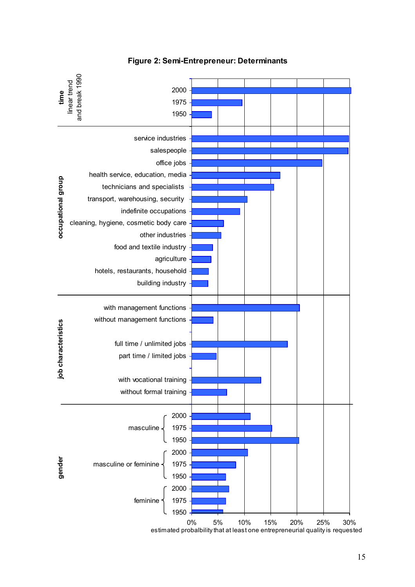

**Figure 2: Semi-Entrepreneur: Determinants**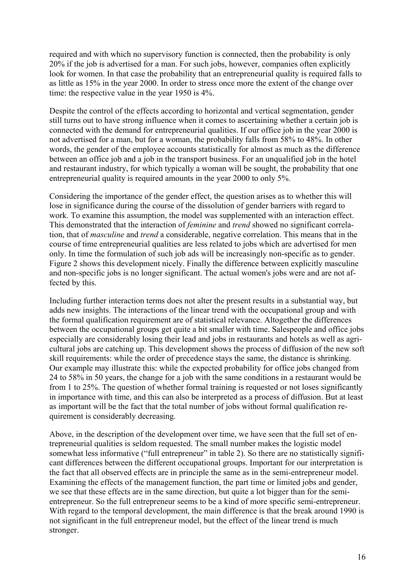required and with which no supervisory function is connected, then the probability is only 20% if the job is advertised for a man. For such jobs, however, companies often explicitly look for women. In that case the probability that an entrepreneurial quality is required falls to as little as 15% in the year 2000. In order to stress once more the extent of the change over time: the respective value in the year 1950 is 4%.

Despite the control of the effects according to horizontal and vertical segmentation, gender still turns out to have strong influence when it comes to ascertaining whether a certain job is connected with the demand for entrepreneurial qualities. If our office job in the year 2000 is not advertised for a man, but for a woman, the probability falls from 58% to 48%. In other words, the gender of the employee accounts statistically for almost as much as the difference between an office job and a job in the transport business. For an unqualified job in the hotel and restaurant industry, for which typically a woman will be sought, the probability that one entrepreneurial quality is required amounts in the year 2000 to only 5%.

Considering the importance of the gender effect, the question arises as to whether this will lose in significance during the course of the dissolution of gender barriers with regard to work. To examine this assumption, the model was supplemented with an interaction effect. This demonstrated that the interaction of *feminine* and *trend* showed no significant correlation, that of *masculine* and *trend* a considerable, negative correlation. This means that in the course of time entrepreneurial qualities are less related to jobs which are advertised for men only. In time the formulation of such job ads will be increasingly non-specific as to gender. Figure 2 shows this development nicely. Finally the difference between explicitly masculine and non-specific jobs is no longer significant. The actual women's jobs were and are not affected by this.

Including further interaction terms does not alter the present results in a substantial way, but adds new insights. The interactions of the linear trend with the occupational group and with the formal qualification requirement are of statistical relevance. Altogether the differences between the occupational groups get quite a bit smaller with time. Salespeople and office jobs especially are considerably losing their lead and jobs in restaurants and hotels as well as agricultural jobs are catching up. This development shows the process of diffusion of the new soft skill requirements: while the order of precedence stays the same, the distance is shrinking. Our example may illustrate this: while the expected probability for office jobs changed from 24 to 58% in 50 years, the change for a job with the same conditions in a restaurant would be from 1 to 25%. The question of whether formal training is requested or not loses significantly in importance with time, and this can also be interpreted as a process of diffusion. But at least as important will be the fact that the total number of jobs without formal qualification requirement is considerably decreasing.

Above, in the description of the development over time, we have seen that the full set of entrepreneurial qualities is seldom requested. The small number makes the logistic model somewhat less informative ("full entrepreneur" in table 2). So there are no statistically significant differences between the different occupational groups. Important for our interpretation is the fact that all observed effects are in principle the same as in the semi-entrepreneur model. Examining the effects of the management function, the part time or limited jobs and gender, we see that these effects are in the same direction, but quite a lot bigger than for the semientrepreneur. So the full entrepreneur seems to be a kind of more specific semi-entrepreneur. With regard to the temporal development, the main difference is that the break around 1990 is not significant in the full entrepreneur model, but the effect of the linear trend is much stronger.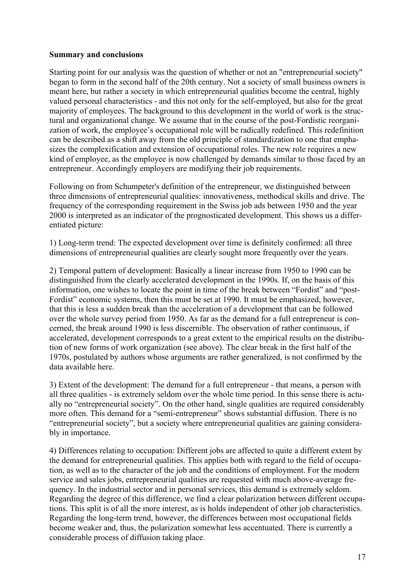#### **Summary and conclusions**

Starting point for our analysis was the question of whether or not an "entrepreneurial society" began to form in the second half of the 20th century. Not a society of small business owners is meant here, but rather a society in which entrepreneurial qualities become the central, highly valued personal characteristics - and this not only for the self-employed, but also for the great majority of employees. The background to this development in the world of work is the structural and organizational change. We assume that in the course of the post-Fordistic reorganization of work, the employee's occupational role will be radically redefined. This redefinition can be described as a shift away from the old principle of standardization to one that emphasizes the complexification and extension of occupational roles. The new role requires a new kind of employee, as the employee is now challenged by demands similar to those faced by an entrepreneur. Accordingly employers are modifying their job requirements.

Following on from Schumpeter's definition of the entrepreneur, we distinguished between three dimensions of entrepreneurial qualities: innovativeness, methodical skills and drive. The frequency of the corresponding requirement in the Swiss job ads between 1950 and the year 2000 is interpreted as an indicator of the prognosticated development. This shows us a differentiated picture:

1) Long-term trend: The expected development over time is definitely confirmed: all three dimensions of entrepreneurial qualities are clearly sought more frequently over the years.

2) Temporal pattern of development: Basically a linear increase from 1950 to 1990 can be distinguished from the clearly accelerated development in the 1990s. If, on the basis of this information, one wishes to locate the point in time of the break between "Fordist" and "post-Fordist" economic systems, then this must be set at 1990. It must be emphasized, however, that this is less a sudden break than the acceleration of a development that can be followed over the whole survey period from 1950. As far as the demand for a full entrepreneur is concerned, the break around 1990 is less discernible. The observation of rather continuous, if accelerated, development corresponds to a great extent to the empirical results on the distribution of new forms of work organization (see above). The clear break in the first half of the 1970s, postulated by authors whose arguments are rather generalized, is not confirmed by the data available here.

3) Extent of the development: The demand for a full entrepreneur - that means, a person with all three qualities - is extremely seldom over the whole time period. In this sense there is actually no "entrepreneurial society". On the other hand, single qualities are required considerably more often. This demand for a "semi-entrepreneur" shows substantial diffusion. There is no "entrepreneurial society", but a society where entrepreneurial qualities are gaining considerably in importance.

4) Differences relating to occupation: Different jobs are affected to quite a different extent by the demand for entrepreneurial qualities. This applies both with regard to the field of occupation, as well as to the character of the job and the conditions of employment. For the modern service and sales jobs, entrepreneurial qualities are requested with much above-average frequency. In the industrial sector and in personal services, this demand is extremely seldom. Regarding the degree of this difference, we find a clear polarization between different occupations. This split is of all the more interest, as is holds independent of other job characteristics. Regarding the long-term trend, however, the differences between most occupational fields become weaker and, thus, the polarization somewhat less accentuated. There is currently a considerable process of diffusion taking place.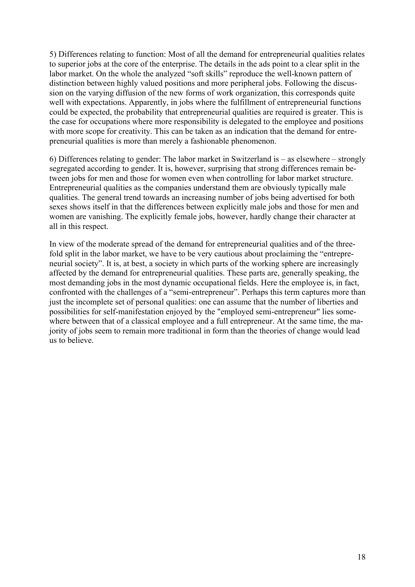5) Differences relating to function: Most of all the demand for entrepreneurial qualities relates to superior jobs at the core of the enterprise. The details in the ads point to a clear split in the labor market. On the whole the analyzed "soft skills" reproduce the well-known pattern of distinction between highly valued positions and more peripheral jobs. Following the discussion on the varying diffusion of the new forms of work organization, this corresponds quite well with expectations. Apparently, in jobs where the fulfillment of entrepreneurial functions could be expected, the probability that entrepreneurial qualities are required is greater. This is the case for occupations where more responsibility is delegated to the employee and positions with more scope for creativity. This can be taken as an indication that the demand for entrepreneurial qualities is more than merely a fashionable phenomenon.

6) Differences relating to gender: The labor market in Switzerland is – as elsewhere – strongly segregated according to gender. It is, however, surprising that strong differences remain between jobs for men and those for women even when controlling for labor market structure. Entrepreneurial qualities as the companies understand them are obviously typically male qualities. The general trend towards an increasing number of jobs being advertised for both sexes shows itself in that the differences between explicitly male jobs and those for men and women are vanishing. The explicitly female jobs, however, hardly change their character at all in this respect.

In view of the moderate spread of the demand for entrepreneurial qualities and of the threefold split in the labor market, we have to be very cautious about proclaiming the "entrepreneurial society". It is, at best, a society in which parts of the working sphere are increasingly affected by the demand for entrepreneurial qualities. These parts are, generally speaking, the most demanding jobs in the most dynamic occupational fields. Here the employee is, in fact, confronted with the challenges of a "semi-entrepreneur". Perhaps this term captures more than just the incomplete set of personal qualities: one can assume that the number of liberties and possibilities for self-manifestation enjoyed by the "employed semi-entrepreneur" lies somewhere between that of a classical employee and a full entrepreneur. At the same time, the majority of jobs seem to remain more traditional in form than the theories of change would lead us to believe.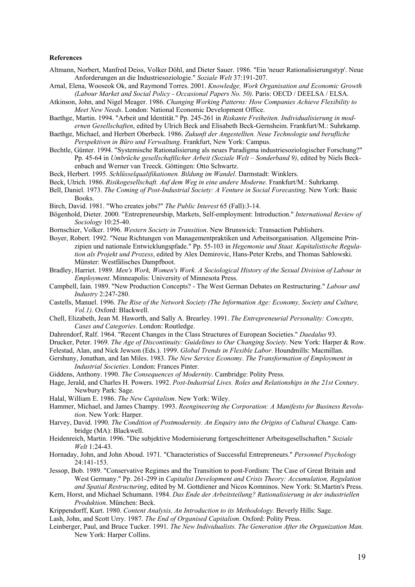#### **References**

- Altmann, Norbert, Manfred Deiss, Volker Döhl, and Dieter Sauer. 1986. "Ein 'neuer Rationalisierungstyp'. Neue Anforderungen an die Industriesoziologie." *Soziale Welt* 37:191-207.
- Arnal, Elena, Wooseok Ok, and Raymond Torres. 2001. *Knowledge, Work Organisation and Economic Growth (Labour Market and Social Policy - Occasional Papers No. 50)*. Paris: OECD / DEELSA / ELSA.
- Atkinson, John, and Nigel Meager. 1986. *Changing Working Patterns: How Companies Achieve Flexibility to Meet New Needs*. London: National Economic Development Office.
- Baethge, Martin. 1994. "Arbeit und Identität." Pp. 245-261 in *Riskante Freiheiten. Individualisierung in modernen Gesellschaften*, edited by Ulrich Beck and Elisabeth Beck-Gernsheim. Frankfurt/M.: Suhrkamp.
- Baethge, Michael, and Herbert Oberbeck. 1986. *Zukunft der Angestellten. Neue Technologie und berufliche Perspektiven in Büro und Verwaltung*. Frankfurt, New York: Campus.
- Bechtle, Günter. 1994. "Systemische Rationalisierung als neues Paradigma industriesoziologischer Forschung?" Pp. 45-64 in *Umbrüche gesellschaftlicher Arbeit (Soziale Welt – Sonderband 9)*, edited by Niels Beckenbach and Werner van Treeck. Göttingen: Otto Schwartz.
- Beck, Herbert. 1995. *Schlüsselqualifikationen. Bildung im Wandel*. Darmstadt: Winklers.
- Beck, Ulrich. 1986. *Risikogesellschaft. Auf dem Weg in eine andere Moderne*. Frankfurt/M.: Suhrkamp.
- Bell, Daniel. 1973. *The Coming of Post-Industrial Society: A Venture in Social Forecasting*. New York: Basic Books.
- Birch, David. 1981. "Who creates jobs?" *The Public Interest* 65 (Fall):3-14.
- Bögenhold, Dieter. 2000. "Entrepreneurship, Markets, Self-employment: Introduction." *International Review of Sociology* 10:25-40.
- Bornschier, Volker. 1996. *Western Society in Transition*. New Brunswick: Transaction Publishers.
- Boyer, Robert. 1992. "Neue Richtungen von Managementpraktiken und Arbeitsorganisation. Allgemeine Prinzipien und nationale Entwicklungspfade." Pp. 55-103 in *Hegemonie und Staat. Kapitalistische Regulation als Projekt und Prozess*, edited by Alex Demirovic, Hans-Peter Krebs, and Thomas Sablowski. Münster: Westfälisches Dampfboot.
- Bradley, Harriet. 1989. *Men's Work, Women's Work. A Sociological History of the Sexual Division of Labour in Employment*. Minneapolis: University of Minnesota Press.
- Campbell, Iain. 1989. "New Production Concepts? The West German Debates on Restructuring." *Labour and Industry* 2:247-280.
- Castells, Manuel. 1996. *The Rise of the Network Society (The Information Age: Economy, Society and Culture, Vol.1)*. Oxford: Blackwell.
- Chell, Elizabeth, Jean M. Haworth, and Sally A. Brearley. 1991. *The Entrepreneurial Personality: Concepts, Cases and Categories*. London: Routledge.
- Dahrendorf, Ralf. 1964. "Recent Changes in the Class Structures of European Societies." *Daedalus* 93.
- Drucker, Peter. 1969. *The Age of Discontinuity: Guidelines to Our Changing Society*. New York: Harper & Row.

Felestad, Alan, and Nick Jewson (Eds.). 1999. *Global Trends in Flexible Labor*. Houndmills: Macmillan.

- Gershuny, Jonathan, and Ian Miles. 1983. *The New Service Economy. The Transformation of Employment in Industrial Societies*. London: Frances Pinter.
- Giddens, Anthony. 1990. *The Consequences of Modernity*. Cambridge: Polity Press.
- Hage, Jerald, and Charles H. Powers. 1992. *Post-Industrial Lives. Roles and Relationships in the 21st Century*. Newbury Park: Sage.
- Halal, William E. 1986. *The New Capitalism*. New York: Wiley.
- Hammer, Michael, and James Champy. 1993. *Reengineering the Corporation: A Manifesto for Business Revolution*. New York: Harper.
- Harvey, David. 1990. *The Condition of Postmodernity. An Enquiry into the Origins of Cultural Change*. Cambridge (MA): Blackwell.
- Heidenreich, Martin. 1996. "Die subjektive Modernisierung fortgeschrittener Arbeitsgesellschaften." *Soziale Welt* 1:24-43.
- Hornaday, John, and John Aboud. 1971. "Characteristics of Successful Entrepreneurs." *Personnel Psychology* 24:141-153.
- Jessop, Bob. 1989. "Conservative Regimes and the Transition to post-Fordism: The Case of Great Britain and West Germany." Pp. 261-299 in *Capitalist Development and Crisis Theory: Accumulation, Regulation and Spatial Restructuring*, edited by M. Gottdiener and Nicos Komninos. New York: St.Martin's Press.
- Kern, Horst, and Michael Schumann. 1984. *Das Ende der Arbeitsteilung? Rationalisierung in der industriellen Produktion*. München: Beck.
- Krippendorff, Kurt. 1980. *Content Analysis, An Introduction to its Methodology.* Beverly Hills: Sage.
- Lash, John, and Scott Urry. 1987. *The End of Organised Capitalism*. Oxford: Polity Press.
- Leinberger, Paul, and Bruce Tucker. 1991. *The New Individualists. The Generation After the Organization Man*. New York: Harper Collins.